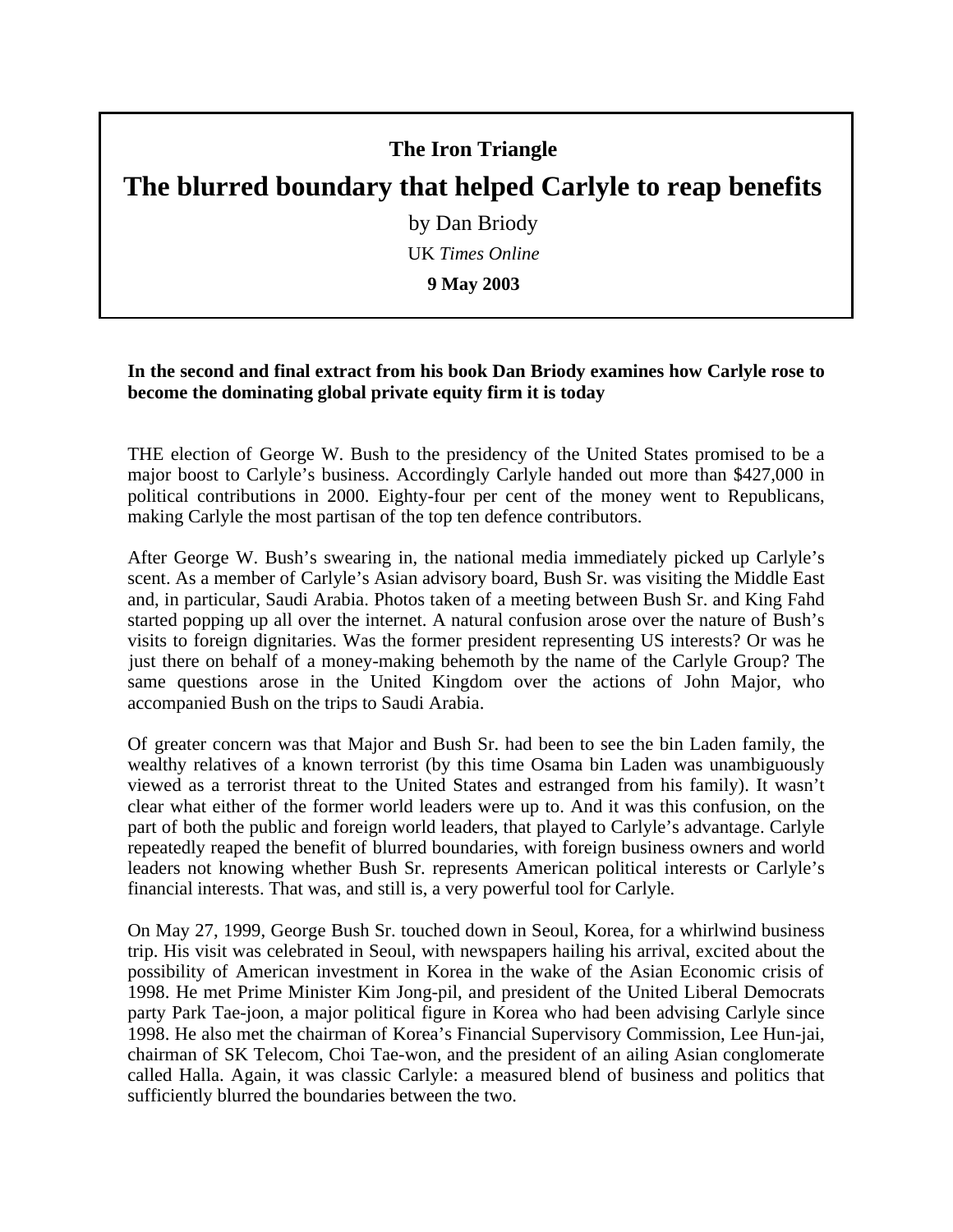## **The Iron Triangle**

## **The blurred boundary that helped Carlyle to reap benefits**

by Dan Briody

UK *Times Online*

**9 May 2003** 

## **In the second and final extract from his book Dan Briody examines how Carlyle rose to become the dominating global private equity firm it is today**

THE election of George W. Bush to the presidency of the United States promised to be a major boost to Carlyle's business. Accordingly Carlyle handed out more than \$427,000 in political contributions in 2000. Eighty-four per cent of the money went to Republicans, making Carlyle the most partisan of the top ten defence contributors.

After George W. Bush's swearing in, the national media immediately picked up Carlyle's scent. As a member of Carlyle's Asian advisory board, Bush Sr. was visiting the Middle East and, in particular, Saudi Arabia. Photos taken of a meeting between Bush Sr. and King Fahd started popping up all over the internet. A natural confusion arose over the nature of Bush's visits to foreign dignitaries. Was the former president representing US interests? Or was he just there on behalf of a money-making behemoth by the name of the Carlyle Group? The same questions arose in the United Kingdom over the actions of John Major, who accompanied Bush on the trips to Saudi Arabia.

Of greater concern was that Major and Bush Sr. had been to see the bin Laden family, the wealthy relatives of a known terrorist (by this time Osama bin Laden was unambiguously viewed as a terrorist threat to the United States and estranged from his family). It wasn't clear what either of the former world leaders were up to. And it was this confusion, on the part of both the public and foreign world leaders, that played to Carlyle's advantage. Carlyle repeatedly reaped the benefit of blurred boundaries, with foreign business owners and world leaders not knowing whether Bush Sr. represents American political interests or Carlyle's financial interests. That was, and still is, a very powerful tool for Carlyle.

On May 27, 1999, George Bush Sr. touched down in Seoul, Korea, for a whirlwind business trip. His visit was celebrated in Seoul, with newspapers hailing his arrival, excited about the possibility of American investment in Korea in the wake of the Asian Economic crisis of 1998. He met Prime Minister Kim Jong-pil, and president of the United Liberal Democrats party Park Tae-joon, a major political figure in Korea who had been advising Carlyle since 1998. He also met the chairman of Korea's Financial Supervisory Commission, Lee Hun-jai, chairman of SK Telecom, Choi Tae-won, and the president of an ailing Asian conglomerate called Halla. Again, it was classic Carlyle: a measured blend of business and politics that sufficiently blurred the boundaries between the two.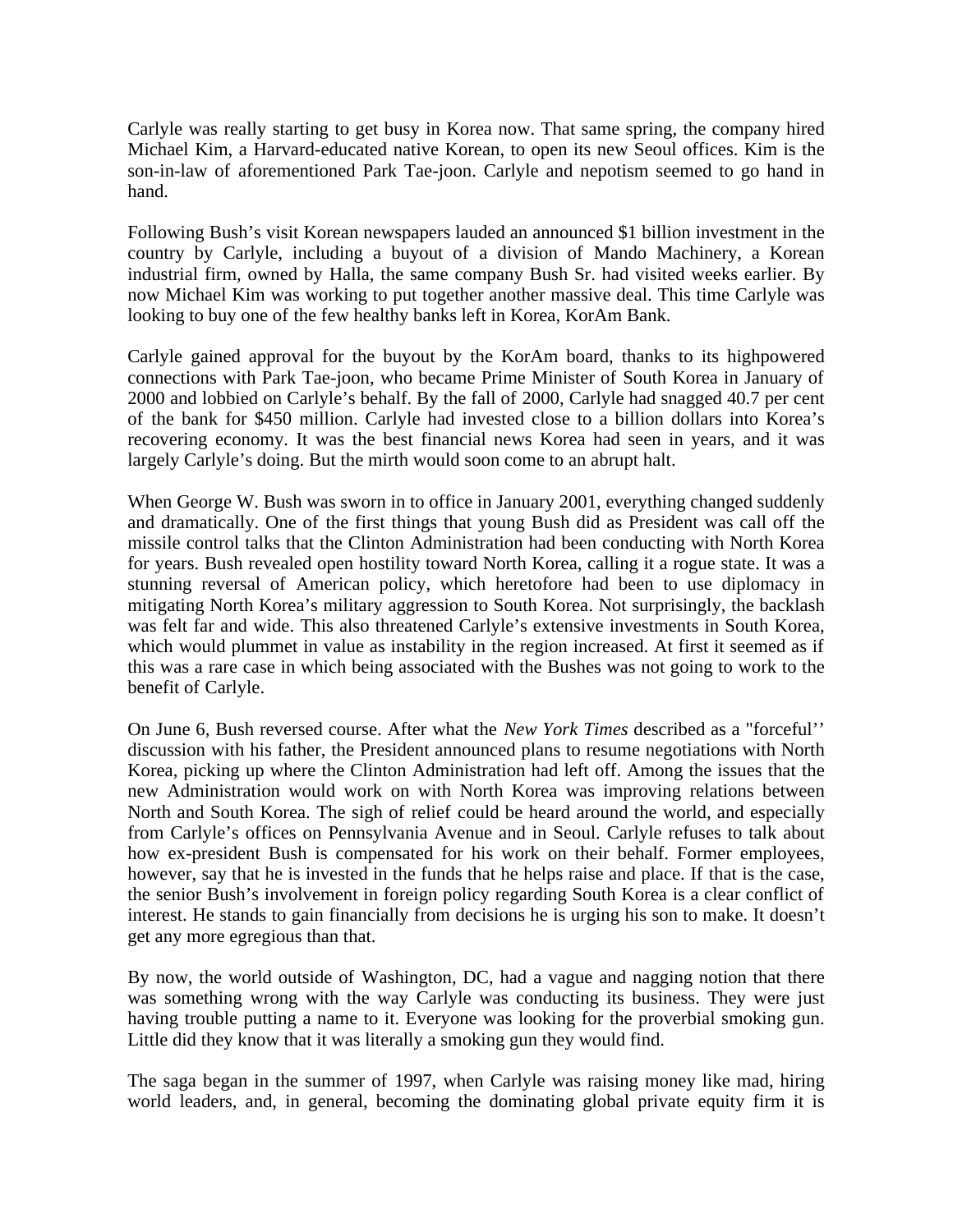Carlyle was really starting to get busy in Korea now. That same spring, the company hired Michael Kim, a Harvard-educated native Korean, to open its new Seoul offices. Kim is the son-in-law of aforementioned Park Tae-joon. Carlyle and nepotism seemed to go hand in hand.

Following Bush's visit Korean newspapers lauded an announced \$1 billion investment in the country by Carlyle, including a buyout of a division of Mando Machinery, a Korean industrial firm, owned by Halla, the same company Bush Sr. had visited weeks earlier. By now Michael Kim was working to put together another massive deal. This time Carlyle was looking to buy one of the few healthy banks left in Korea, KorAm Bank.

Carlyle gained approval for the buyout by the KorAm board, thanks to its highpowered connections with Park Tae-joon, who became Prime Minister of South Korea in January of 2000 and lobbied on Carlyle's behalf. By the fall of 2000, Carlyle had snagged 40.7 per cent of the bank for \$450 million. Carlyle had invested close to a billion dollars into Korea's recovering economy. It was the best financial news Korea had seen in years, and it was largely Carlyle's doing. But the mirth would soon come to an abrupt halt.

When George W. Bush was sworn in to office in January 2001, everything changed suddenly and dramatically. One of the first things that young Bush did as President was call off the missile control talks that the Clinton Administration had been conducting with North Korea for years. Bush revealed open hostility toward North Korea, calling it a rogue state. It was a stunning reversal of American policy, which heretofore had been to use diplomacy in mitigating North Korea's military aggression to South Korea. Not surprisingly, the backlash was felt far and wide. This also threatened Carlyle's extensive investments in South Korea, which would plummet in value as instability in the region increased. At first it seemed as if this was a rare case in which being associated with the Bushes was not going to work to the benefit of Carlyle.

On June 6, Bush reversed course. After what the *New York Times* described as a "forceful'' discussion with his father, the President announced plans to resume negotiations with North Korea, picking up where the Clinton Administration had left off. Among the issues that the new Administration would work on with North Korea was improving relations between North and South Korea. The sigh of relief could be heard around the world, and especially from Carlyle's offices on Pennsylvania Avenue and in Seoul. Carlyle refuses to talk about how ex-president Bush is compensated for his work on their behalf. Former employees, however, say that he is invested in the funds that he helps raise and place. If that is the case, the senior Bush's involvement in foreign policy regarding South Korea is a clear conflict of interest. He stands to gain financially from decisions he is urging his son to make. It doesn't get any more egregious than that.

By now, the world outside of Washington, DC, had a vague and nagging notion that there was something wrong with the way Carlyle was conducting its business. They were just having trouble putting a name to it. Everyone was looking for the proverbial smoking gun. Little did they know that it was literally a smoking gun they would find.

The saga began in the summer of 1997, when Carlyle was raising money like mad, hiring world leaders, and, in general, becoming the dominating global private equity firm it is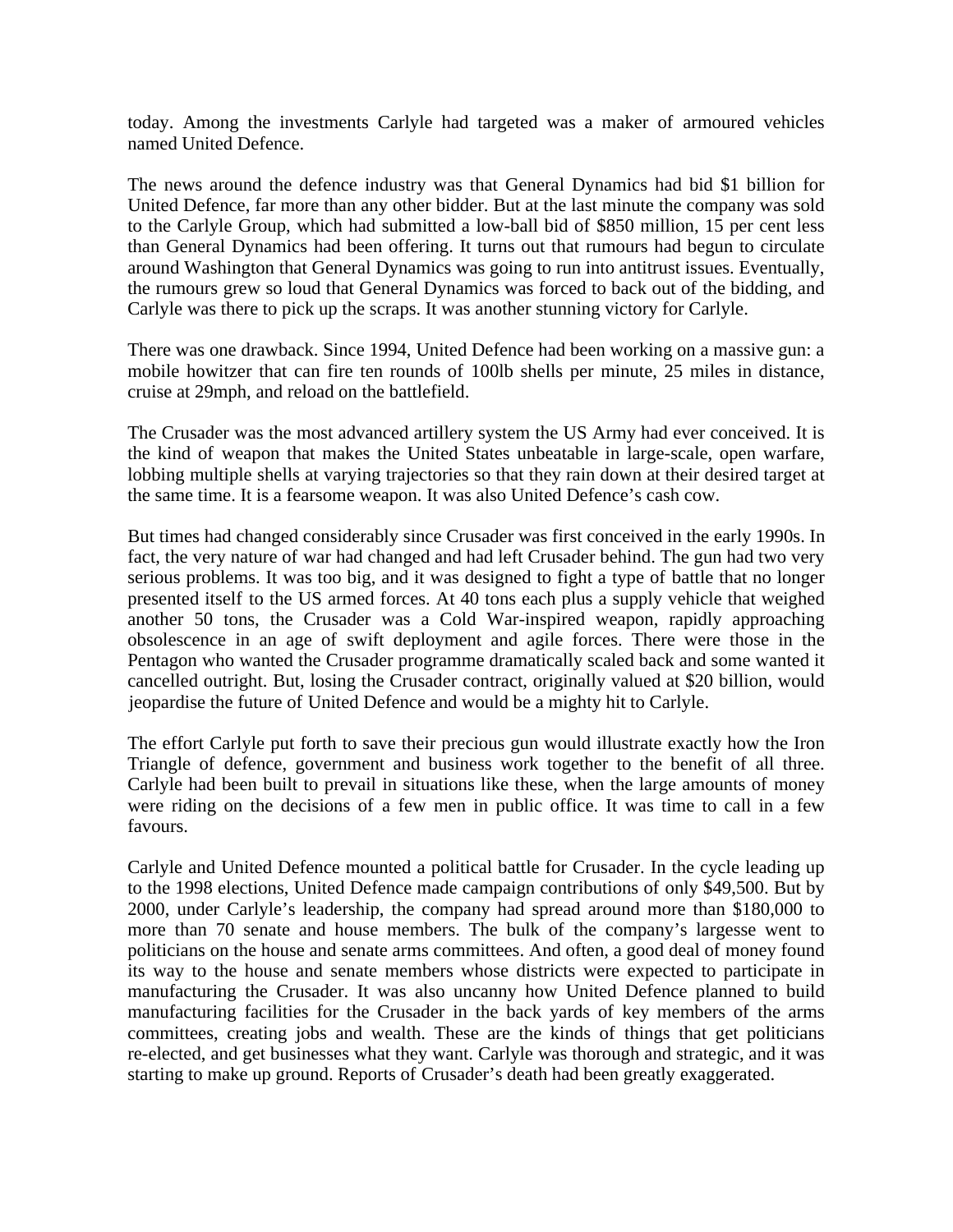today. Among the investments Carlyle had targeted was a maker of armoured vehicles named United Defence.

The news around the defence industry was that General Dynamics had bid \$1 billion for United Defence, far more than any other bidder. But at the last minute the company was sold to the Carlyle Group, which had submitted a low-ball bid of \$850 million, 15 per cent less than General Dynamics had been offering. It turns out that rumours had begun to circulate around Washington that General Dynamics was going to run into antitrust issues. Eventually, the rumours grew so loud that General Dynamics was forced to back out of the bidding, and Carlyle was there to pick up the scraps. It was another stunning victory for Carlyle.

There was one drawback. Since 1994, United Defence had been working on a massive gun: a mobile howitzer that can fire ten rounds of 100lb shells per minute, 25 miles in distance, cruise at 29mph, and reload on the battlefield.

The Crusader was the most advanced artillery system the US Army had ever conceived. It is the kind of weapon that makes the United States unbeatable in large-scale, open warfare, lobbing multiple shells at varying trajectories so that they rain down at their desired target at the same time. It is a fearsome weapon. It was also United Defence's cash cow.

But times had changed considerably since Crusader was first conceived in the early 1990s. In fact, the very nature of war had changed and had left Crusader behind. The gun had two very serious problems. It was too big, and it was designed to fight a type of battle that no longer presented itself to the US armed forces. At 40 tons each plus a supply vehicle that weighed another 50 tons, the Crusader was a Cold War-inspired weapon, rapidly approaching obsolescence in an age of swift deployment and agile forces. There were those in the Pentagon who wanted the Crusader programme dramatically scaled back and some wanted it cancelled outright. But, losing the Crusader contract, originally valued at \$20 billion, would jeopardise the future of United Defence and would be a mighty hit to Carlyle.

The effort Carlyle put forth to save their precious gun would illustrate exactly how the Iron Triangle of defence, government and business work together to the benefit of all three. Carlyle had been built to prevail in situations like these, when the large amounts of money were riding on the decisions of a few men in public office. It was time to call in a few favours.

Carlyle and United Defence mounted a political battle for Crusader. In the cycle leading up to the 1998 elections, United Defence made campaign contributions of only \$49,500. But by 2000, under Carlyle's leadership, the company had spread around more than \$180,000 to more than 70 senate and house members. The bulk of the company's largesse went to politicians on the house and senate arms committees. And often, a good deal of money found its way to the house and senate members whose districts were expected to participate in manufacturing the Crusader. It was also uncanny how United Defence planned to build manufacturing facilities for the Crusader in the back yards of key members of the arms committees, creating jobs and wealth. These are the kinds of things that get politicians re-elected, and get businesses what they want. Carlyle was thorough and strategic, and it was starting to make up ground. Reports of Crusader's death had been greatly exaggerated.